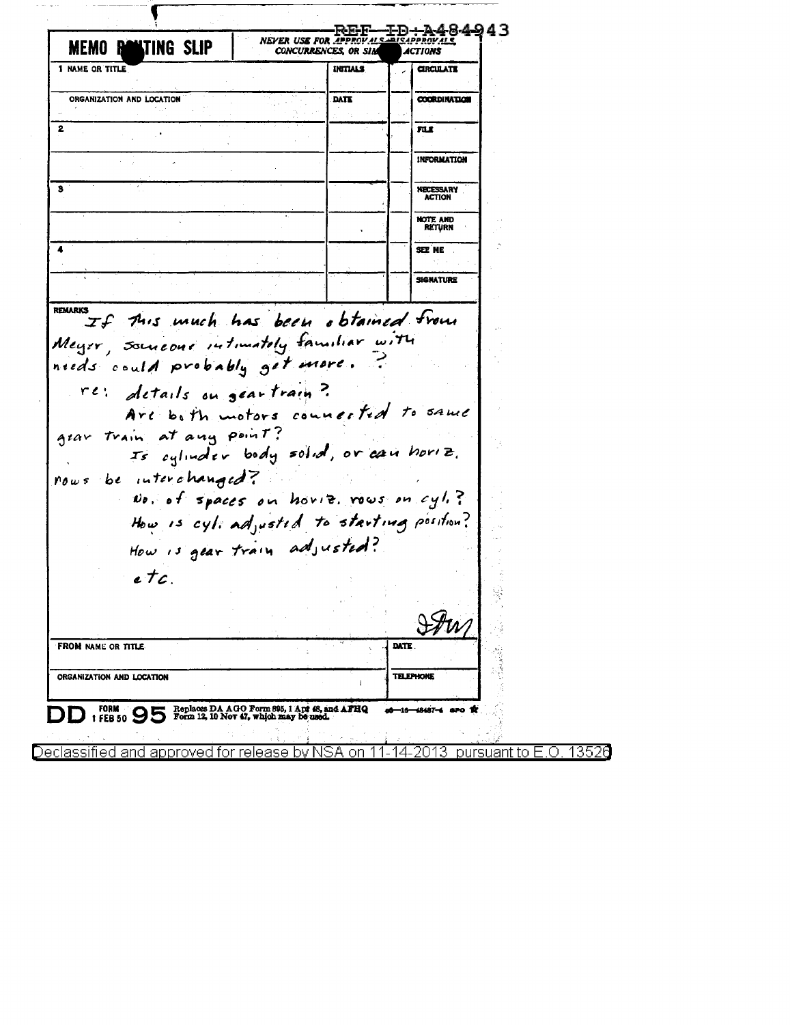| <b>LTING SLIP</b>                                                                                                                                                                     | NEVER USE FOR APPROVALS SOF                                                            | CONCURRENCES, OR SIM | <b>ACTIONS</b>   | REF-ID+A484943                              |  |
|---------------------------------------------------------------------------------------------------------------------------------------------------------------------------------------|----------------------------------------------------------------------------------------|----------------------|------------------|---------------------------------------------|--|
| <b>1 NAME OR TITLE</b>                                                                                                                                                                |                                                                                        | INITIALS             |                  | <b>CIRCULATE</b>                            |  |
| ORGANIZATION AND LOCATION                                                                                                                                                             |                                                                                        | DATE                 |                  | <b>COORDINATION</b>                         |  |
| 2                                                                                                                                                                                     |                                                                                        |                      |                  | FLI                                         |  |
|                                                                                                                                                                                       |                                                                                        |                      |                  | INFORMATION                                 |  |
|                                                                                                                                                                                       |                                                                                        |                      |                  | <b>NECESSARY</b><br><b>ACTION</b>           |  |
|                                                                                                                                                                                       |                                                                                        |                      |                  | <b>NOTE AND</b><br><b>RETURN</b>            |  |
|                                                                                                                                                                                       |                                                                                        |                      |                  | SEE ME                                      |  |
|                                                                                                                                                                                       |                                                                                        |                      |                  | SIGNATURE                                   |  |
| Is eqlinater body solid, or can horiz.<br>nows be interchanged?<br>No, of spaces on horiz, rows on cyli?<br>How is cyli adjusted to starting position?<br>How is gear train adjusted? |                                                                                        |                      |                  |                                             |  |
| e T c                                                                                                                                                                                 |                                                                                        |                      |                  |                                             |  |
| <b>FROM NAME OR TITLE</b>                                                                                                                                                             |                                                                                        |                      | DATE             |                                             |  |
| ORGANIZATION AND LOCATION                                                                                                                                                             |                                                                                        |                      | <b>TELEPHONE</b> |                                             |  |
| FORM $\bigcirc$<br>Declassified and approved for release by NSA on                                                                                                                    | Replaces DA AGO Form 895, 1 Apr 48, and AFHQ<br>Form 12, 10 Nov 47, which may be used. |                      | 4                | a6—16—48487-4 sro<br>-2013<br>pursuant to E |  |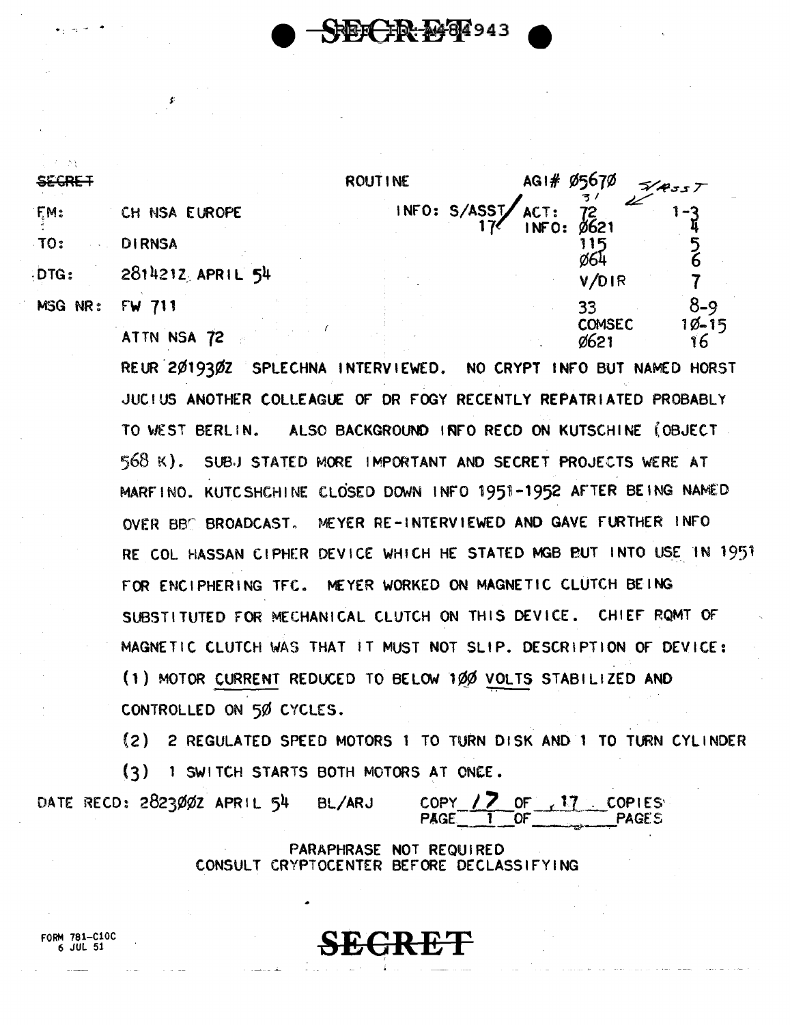**REE-FR-2484943** 

| <u>crroci</u> |                  | <b>ROUTINE</b>                | AG1# 05670                        | 548557          |
|---------------|------------------|-------------------------------|-----------------------------------|-----------------|
| FM:           | CH NSA EUROPE    | INFO: S/ASST/ACT:<br>17/1NFO: | $72$<br>Ø621                      | -3              |
| TO:           | <b>DIRNSA</b>    |                               |                                   |                 |
| DTG:          | 2814212 APRIL 54 |                               | Ø64<br>V/DIR                      |                 |
| MSG NR:       | FW 711           |                               | 33                                | $8 - 9$         |
|               | ATTN NSA 72      |                               | <b>COMSEC</b><br>062 <sup>1</sup> | $10 - 15$<br>16 |

REUR 2019302 SPLECHNA INTERVIEWED. NO CRYPT INFO BUT NAMED HORST JUCIUS ANOTHER COLLEAGUE OF DR FOGY RECENTLY REPATRIATED PROBABLY TO WEST BERLIN. ALSO BACKGROUND INFO RECD ON KUTSCHINE (OBJECT 568 K). SUBJ STATED MORE IMPORTANT AND SECRET PROJECTS WERE AT MARFINO. KUTC SHCHINE CLOSED DOWN INFO 1951-1952 AFTER BEING NAMED MEYER RE-INTERVIEWED AND GAVE FURTHER INFO OVER BBC BROADCAST. RE COL HASSAN CIPHER DEVICE WHICH HE STATED MGB BUT INTO USE IN 1951 FOR ENCIPHERING TFC. MEYER WORKED ON MAGNETIC CLUTCH BEING SUBSTITUTED FOR MECHANICAL CLUTCH ON THIS DEVICE. CHIEF ROMT OF MAGNETIC CLUTCH WAS THAT IT MUST NOT SLIP. DESCRIPTION OF DEVICE: (1) MOTOR CURRENT REDUCED TO BELOW 100 VOLTS STABILIZED AND CONTROLLED ON 50 CYCLES.

(2) 2 REGULATED SPEED MOTORS 1 TO TURN DISK AND 1 TO TURN CYLINDER  $(3)$ 1 SWITCH STARTS BOTH MOTORS AT ONCE.

DATE RECD: 2823002 APRIL 54 BL/ARJ

 $\frac{17}{1}$  of  $\frac{17}{1}$  copies **COPY PAGE** 

PARAPHRASE NOT REQUIRED CONSULT CRYPTOCENTER BEFORE DECLASSIFYING

**SECRET** 

FORM 781-C10C 6 JUL 51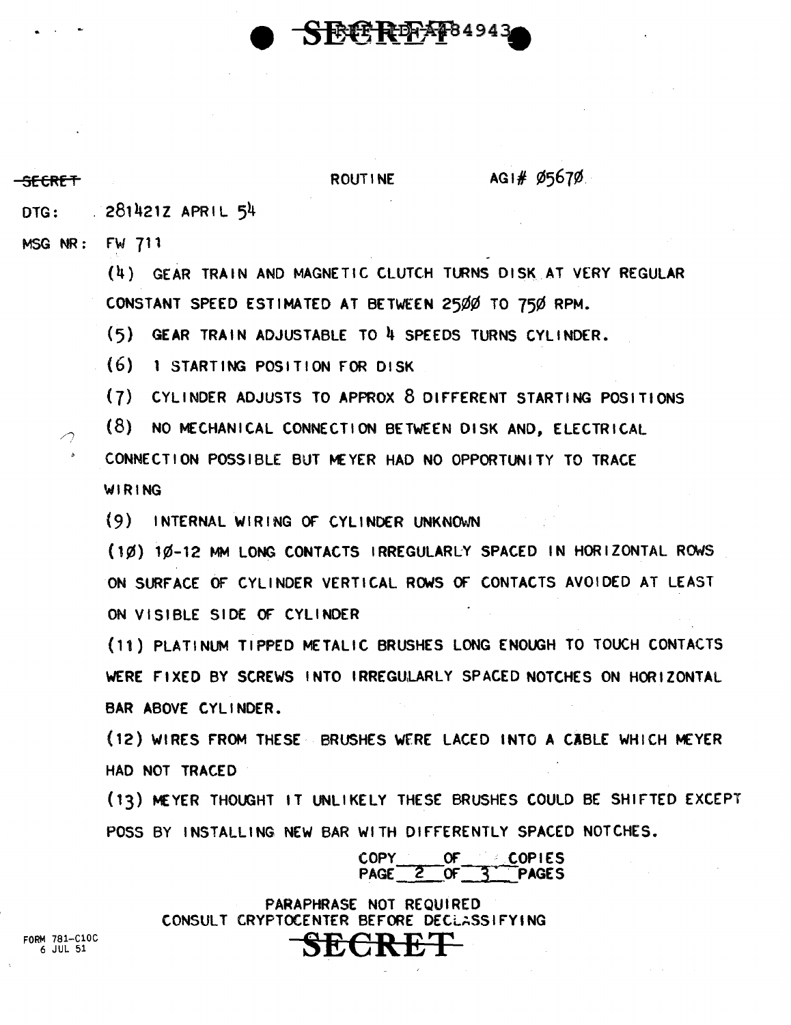

 $AG1#95670$ 

**SECRET** ROUTINE

DTG: 281421Z APRIL 54 MSG NR: FW 711 (4) GEAR TRAIN AND MAGNETIC CLUTCH TURNS DISK AT VERY REGULAR CONSTANT SPEED ESTIMATED AT BETWEEN 25¢¢ TO 75¢ RPM. (5) GEAR TRAIN ADJUSTABLE TO 4 SPEEDS TURNS CYLINDER. (6) 1 STARTING POSITION fOR DISK (7) CYLINDER ADJUSTS TO APPROX 8 DIFFERENT STARTING POSITIONS (8) NO MECHANICAL CONNECTION BETWEEN DISK AND, ELECTRICAL CONNECTION POSSIBLE BUT MEYER HAD NO OPPORTUNITY TO TRACE WIRING (9) INTERNAL WIRING Qt CYLINDER UNKNOWN (1¢) 1¢-12 MM LONG CONTACTS IRREGULARLY SPACED IN HORIZONTAL ROWS ON SURFACE OF CYLINDER VERTICAL ROWS OF CONTACTS AVOIDED AT LEAST ON VISIBLE SIDE OF CYLINDER (11) PLATINUM TIPPED METALIC BRUSHES LONG ENOUGH TO TOUCH CONTACTS WERE FIXED BY SCREWS INTO IRREGULARLY SPACED NOTCHES ON HORIZONTAL BAR ABOVE CYLINDER. (12) WIRES FROM THESE BRUSHES WERE LACED INTO A CABLE WHICH MEYER HAD NOT TRACED (13) MEYER THOUGHT IT UNLIKELY THESE BRUSHES COULD BE SHIFTED EXCEPT POSS BY INSTALLING NEW BAR WITH DIFFERENTLY SPACED NOTCHES. COPY OF COPIES

> PARAPHRASE NOT REQUIRED CONSULT CRYPTOCENTER BEFORE DECLASSIFYING **SECRET**

PAGE 2 OF 3 PAGES

FORM 781-ClOC 6 JUL 51